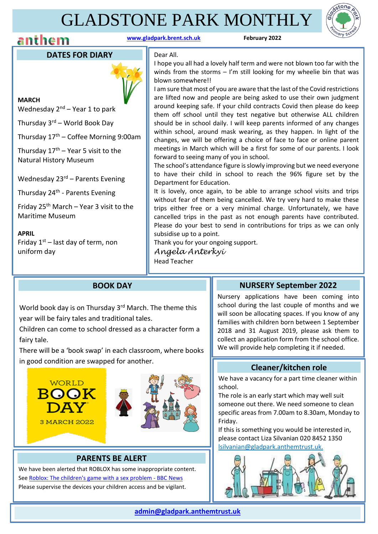### GLADSTONE PARK MONTHLY

### **anthem** *hem h m www.gladpark.brent.sch.uk* **<b>***February* 2022



#### **DATES FOR DIARY**



**MARCH** Wednesday 2<sup>nd</sup> – Year 1 to park

Thursday 3rd – World Book Day

Thursday  $17<sup>th</sup>$  – Coffee Morning 9:00am

Thursday  $17<sup>th</sup>$  – Year 5 visit to the Natural History Museum

Wednesday 23<sup>rd</sup> – Parents Evening

Thursday 24<sup>th</sup> - Parents Evening

Friday 25<sup>th</sup> March – Year 3 visit to the Maritime Museum

**APRIL** Friday  $1<sup>st</sup>$  – last day of term, non uniform day

#### Dear All.

I hope you all had a lovely half term and were not blown too far with the winds from the storms  $-$  I'm still looking for my wheelie bin that was blown somewhere!!

I am sure that most of you are aware that the last of the Covid restrictions are lifted now and people are being asked to use their own judgment around keeping safe. If your child contracts Covid then please do keep them off school until they test negative but otherwise ALL children should be in school daily. I will keep parents informed of any changes within school, around mask wearing, as they happen. In light of the changes, we will be offering a choice of face to face or online parent meetings in March which will be a first for some of our parents. I look forward to seeing many of you in school.

The school's attendance figure is slowly improving but we need everyone to have their child in school to reach the 96% figure set by the Department for Education.

It is lovely, once again, to be able to arrange school visits and trips without fear of them being cancelled. We try very hard to make these trips either free or a very minimal charge. Unfortunately, we have cancelled trips in the past as not enough parents have contributed. Please do your best to send in contributions for trips as we can only subsidise up to a point.

Thank you for your ongoing support. *Angela Anterkyi* 

Head Teacher

#### **BOOK DAY**

World book day is on Thursday 3<sup>rd</sup> March. The theme this year will be fairy tales and traditional tales.

Children can come to school dressed as a character form a fairy tale.

There will be a 'book swap' in each classroom, where books in good condition are swapped for another.



#### **PARENTS BE ALERT**

We have been alerted that ROBLOX has some inappropriate content. See [Roblox: The children's game with a sex problem -](https://www.bbc.co.uk/news/technology-60314572) BBC News Please supervise the devices your children access and be vigilant.

 $\overline{a}$ 

#### **NURSERY September 2022**

Nursery applications have been coming into school during the last couple of months and we will soon be allocating spaces. If you know of any families with children born between 1 September 2018 and 31 August 2019, please ask them to collect an application form from the school office. We will provide help completing it if needed.

#### **Cleaner/kitchen role**

We have a vacancy for a part time cleaner within school.

The role is an early start which may well suit someone out there. We need someone to clean specific areas from 7.00am to 8.30am, Monday to Friday.

If this is something you would be interested in, please contact Liza Silvanian 020 8452 1350 lsilvanian@gladpark.anthemtrust.uk.